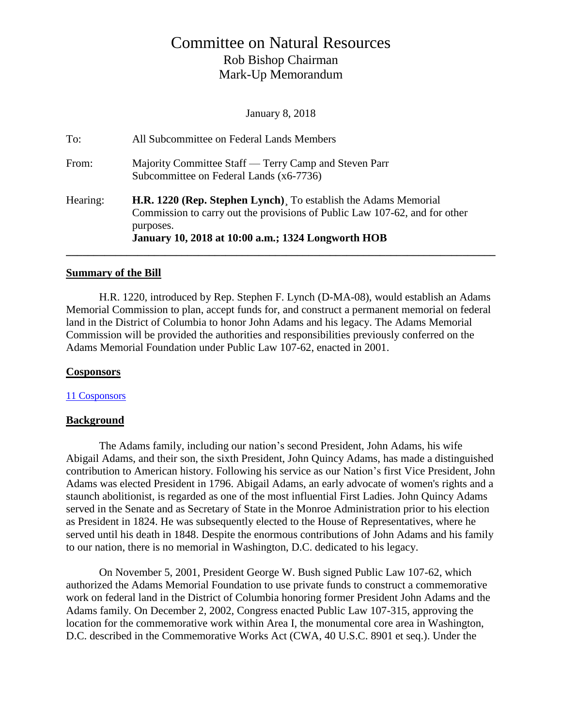# Committee on Natural Resources Rob Bishop Chairman Mark-Up Memorandum

January 8, 2018

| To:      | All Subcommittee on Federal Lands Members                                                                                                                                                                        |
|----------|------------------------------------------------------------------------------------------------------------------------------------------------------------------------------------------------------------------|
| From:    | Majority Committee Staff — Terry Camp and Steven Parr<br>Subcommittee on Federal Lands (x6-7736)                                                                                                                 |
| Hearing: | H.R. 1220 (Rep. Stephen Lynch). To establish the Adams Memorial<br>Commission to carry out the provisions of Public Law 107-62, and for other<br>purposes.<br>January 10, 2018 at 10:00 a.m.; 1324 Longworth HOB |

### **Summary of the Bill**

H.R. 1220, introduced by Rep. Stephen F. Lynch (D-MA-08), would establish an Adams Memorial Commission to plan, accept funds for, and construct a permanent memorial on federal land in the District of Columbia to honor John Adams and his legacy. The Adams Memorial Commission will be provided the authorities and responsibilities previously conferred on the Adams Memorial Foundation under Public Law 107-62, enacted in 2001.

### **Cosponsors**

### [11 Cosponsors](https://www.congress.gov/bill/115th-congress/house-bill/1220/cosponsors?q=%7B%22search%22%3A%5B%22h.r.+1220%22%5D%7D&r=1)

### **Background**

The Adams family, including our nation's second President, John Adams, his wife Abigail Adams, and their son, the sixth President, John Quincy Adams, has made a distinguished contribution to American history. Following his service as our Nation's first Vice President, John Adams was elected President in 1796. Abigail Adams, an early advocate of women's rights and a staunch abolitionist, is regarded as one of the most influential First Ladies. John Quincy Adams served in the Senate and as Secretary of State in the Monroe Administration prior to his election as President in 1824. He was subsequently elected to the House of Representatives, where he served until his death in 1848. Despite the enormous contributions of John Adams and his family to our nation, there is no memorial in Washington, D.C. dedicated to his legacy.

On November 5, 2001, President George W. Bush signed Public Law 107-62, which authorized the Adams Memorial Foundation to use private funds to construct a commemorative work on federal land in the District of Columbia honoring former President John Adams and the Adams family. On December 2, 2002, Congress enacted Public Law 107-315, approving the location for the commemorative work within Area I, the monumental core area in Washington, D.C. described in the Commemorative Works Act (CWA, 40 U.S.C. 8901 et seq.). Under the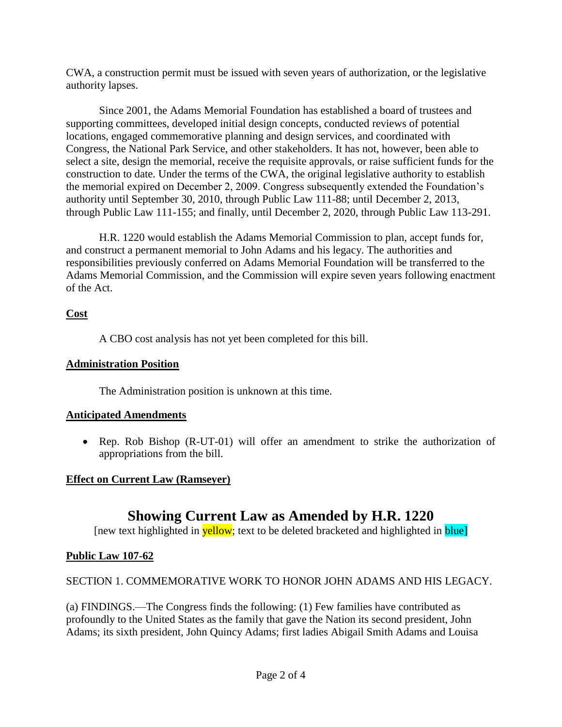CWA, a construction permit must be issued with seven years of authorization, or the legislative authority lapses.

Since 2001, the Adams Memorial Foundation has established a board of trustees and supporting committees, developed initial design concepts, conducted reviews of potential locations, engaged commemorative planning and design services, and coordinated with Congress, the National Park Service, and other stakeholders. It has not, however, been able to select a site, design the memorial, receive the requisite approvals, or raise sufficient funds for the construction to date. Under the terms of the CWA, the original legislative authority to establish the memorial expired on December 2, 2009. Congress subsequently extended the Foundation's authority until September 30, 2010, through Public Law 111-88; until December 2, 2013, through Public Law 111-155; and finally, until December 2, 2020, through Public Law 113-291.

H.R. 1220 would establish the Adams Memorial Commission to plan, accept funds for, and construct a permanent memorial to John Adams and his legacy. The authorities and responsibilities previously conferred on Adams Memorial Foundation will be transferred to the Adams Memorial Commission, and the Commission will expire seven years following enactment of the Act.

## **Cost**

A CBO cost analysis has not yet been completed for this bill.

## **Administration Position**

The Administration position is unknown at this time.

# **Anticipated Amendments**

• Rep. Rob Bishop (R-UT-01) will offer an amendment to strike the authorization of appropriations from the bill.

# **Effect on Current Law (Ramseyer)**

# **Showing Current Law as Amended by H.R. 1220**

[new text highlighted in **yellow**; text to be deleted bracketed and highlighted in **blue**]

# **Public Law 107-62**

# SECTION 1. COMMEMORATIVE WORK TO HONOR JOHN ADAMS AND HIS LEGACY.

(a) FINDINGS.—The Congress finds the following: (1) Few families have contributed as profoundly to the United States as the family that gave the Nation its second president, John Adams; its sixth president, John Quincy Adams; first ladies Abigail Smith Adams and Louisa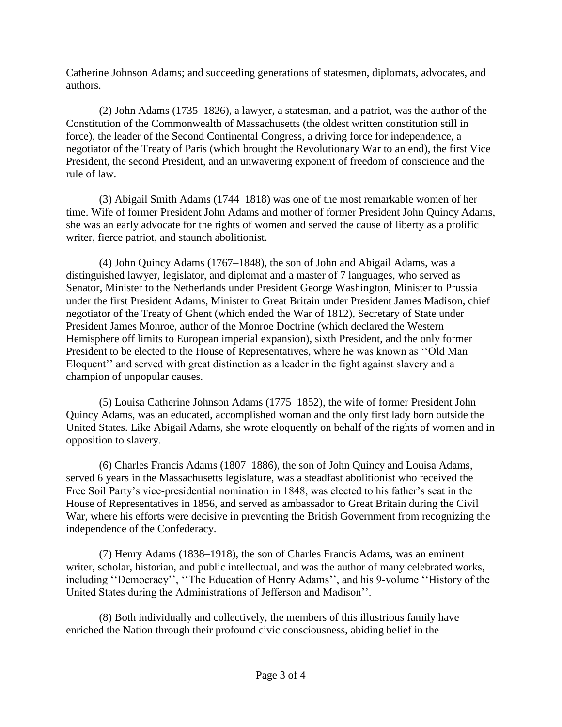Catherine Johnson Adams; and succeeding generations of statesmen, diplomats, advocates, and authors.

(2) John Adams (1735–1826), a lawyer, a statesman, and a patriot, was the author of the Constitution of the Commonwealth of Massachusetts (the oldest written constitution still in force), the leader of the Second Continental Congress, a driving force for independence, a negotiator of the Treaty of Paris (which brought the Revolutionary War to an end), the first Vice President, the second President, and an unwavering exponent of freedom of conscience and the rule of law.

(3) Abigail Smith Adams (1744–1818) was one of the most remarkable women of her time. Wife of former President John Adams and mother of former President John Quincy Adams, she was an early advocate for the rights of women and served the cause of liberty as a prolific writer, fierce patriot, and staunch abolitionist.

(4) John Quincy Adams (1767–1848), the son of John and Abigail Adams, was a distinguished lawyer, legislator, and diplomat and a master of 7 languages, who served as Senator, Minister to the Netherlands under President George Washington, Minister to Prussia under the first President Adams, Minister to Great Britain under President James Madison, chief negotiator of the Treaty of Ghent (which ended the War of 1812), Secretary of State under President James Monroe, author of the Monroe Doctrine (which declared the Western Hemisphere off limits to European imperial expansion), sixth President, and the only former President to be elected to the House of Representatives, where he was known as ''Old Man Eloquent'' and served with great distinction as a leader in the fight against slavery and a champion of unpopular causes.

(5) Louisa Catherine Johnson Adams (1775–1852), the wife of former President John Quincy Adams, was an educated, accomplished woman and the only first lady born outside the United States. Like Abigail Adams, she wrote eloquently on behalf of the rights of women and in opposition to slavery.

(6) Charles Francis Adams (1807–1886), the son of John Quincy and Louisa Adams, served 6 years in the Massachusetts legislature, was a steadfast abolitionist who received the Free Soil Party's vice-presidential nomination in 1848, was elected to his father's seat in the House of Representatives in 1856, and served as ambassador to Great Britain during the Civil War, where his efforts were decisive in preventing the British Government from recognizing the independence of the Confederacy.

(7) Henry Adams (1838–1918), the son of Charles Francis Adams, was an eminent writer, scholar, historian, and public intellectual, and was the author of many celebrated works, including ''Democracy'', ''The Education of Henry Adams'', and his 9-volume ''History of the United States during the Administrations of Jefferson and Madison''.

(8) Both individually and collectively, the members of this illustrious family have enriched the Nation through their profound civic consciousness, abiding belief in the